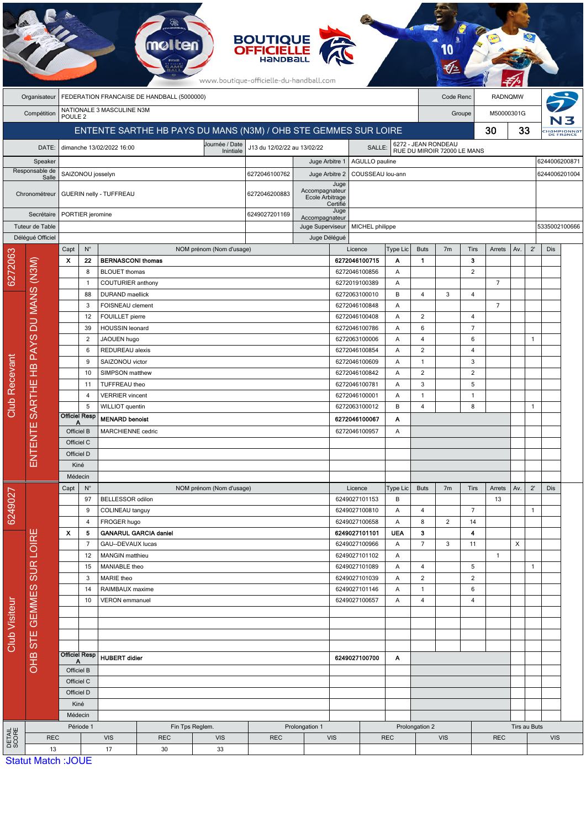|                                     |                                                                         |                                                                 |                                                                   |                           | mol                          |                                                    | <b>BOUTIQUE<br/>OFFICIELLE</b><br>www.boutique-officielle-du-handball.com |                                          |                                 |                                 |                     |                                                    |                      |                |                |               |               |                          |  |
|-------------------------------------|-------------------------------------------------------------------------|-----------------------------------------------------------------|-------------------------------------------------------------------|---------------------------|------------------------------|----------------------------------------------------|---------------------------------------------------------------------------|------------------------------------------|---------------------------------|---------------------------------|---------------------|----------------------------------------------------|----------------------|----------------|----------------|---------------|---------------|--------------------------|--|
|                                     | FEDERATION FRANCAISE DE HANDBALL (5000000)<br>Code Renc<br>Organisateur |                                                                 |                                                                   |                           |                              |                                                    |                                                                           |                                          |                                 | <b>RADNQMW</b>                  |                     |                                                    |                      |                |                |               |               |                          |  |
|                                     | Compétition                                                             | NATIONALE 3 MASCULINE N3M<br>POULE <sub>2</sub>                 |                                                                   |                           |                              |                                                    |                                                                           |                                          |                                 |                                 |                     |                                                    | M50000301G<br>Groupe |                |                |               |               |                          |  |
|                                     |                                                                         | ENTENTE SARTHE HB PAYS DU MANS (N3M) / OHB STE GEMMES SUR LOIRE |                                                                   |                           |                              |                                                    |                                                                           |                                          |                                 |                                 |                     |                                                    |                      |                | 30             | 33            |               | :Hampionnat<br>DE FRance |  |
|                                     | DATE:                                                                   |                                                                 |                                                                   | dimanche 13/02/2022 16:00 |                              | Journée / Date<br>Inintiale                        | J13 du 12/02/22 au 13/02/22                                               |                                          |                                 | SALLE:                          |                     | 6272 - JEAN RONDEAU<br>RUE DU MIROIR 72000 LE MANS |                      |                |                |               |               |                          |  |
| Speaker                             |                                                                         |                                                                 |                                                                   |                           |                              |                                                    | Juge Arbitre 1                                                            |                                          |                                 | 6244006200871<br>AGULLO pauline |                     |                                                    |                      |                |                |               |               |                          |  |
| Responsable de<br>Salle             |                                                                         |                                                                 | SAIZONOU josselyn                                                 |                           |                              |                                                    | 6272046100762                                                             | Juge Arbitre 2                           |                                 | COUSSEAU lou-ann                |                     |                                                    |                      |                |                | 6244006201004 |               |                          |  |
| Chronométreur                       |                                                                         |                                                                 |                                                                   | GUERIN nelly - TUFFREAU   |                              | Accompagnateur<br>6272046200883<br>Ecole Arbitrage |                                                                           |                                          | Juge<br>Certifié                |                                 |                     |                                                    |                      |                |                |               |               |                          |  |
| Secrétaire                          |                                                                         | PORTIER jeromine                                                |                                                                   |                           |                              |                                                    | 6249027201169                                                             | Accompagnateur                           | Juge                            |                                 |                     |                                                    |                      |                |                |               |               |                          |  |
| Tuteur de Table<br>Délégué Officiel |                                                                         |                                                                 |                                                                   |                           |                              |                                                    |                                                                           | Juge Superviseur                         | MICHEL philippe<br>Juge Délégué |                                 |                     |                                                    |                      |                |                |               | 5335002100666 |                          |  |
|                                     |                                                                         | Capt                                                            | $\mathsf{N}^\circ$                                                |                           |                              | NOM prénom (Nom d'usage)                           |                                                                           |                                          |                                 | Licence                         | Type Lic            | <b>Buts</b>                                        | 7 <sub>m</sub>       | Tirs           | Arrets         | Av.           | $2^{\prime}$  | Dis                      |  |
| 6272063                             |                                                                         | $\boldsymbol{\mathsf{x}}$                                       | 22                                                                | <b>BERNASCONI thomas</b>  |                              |                                                    |                                                                           |                                          |                                 | 6272046100715                   | Α                   | $\mathbf{1}$                                       |                      | 3              |                |               |               |                          |  |
|                                     | DU MANS (N3M)                                                           |                                                                 | 8                                                                 | <b>BLOUET thomas</b>      |                              |                                                    |                                                                           |                                          |                                 | 6272046100856                   | Α                   |                                                    |                      | $\overline{2}$ |                |               |               |                          |  |
|                                     |                                                                         |                                                                 | COUTURIER anthony<br>$\mathbf{1}$<br>88<br><b>DURAND</b> maellick |                           |                              |                                                    |                                                                           | 6272019100389<br>6272063100010           | Α<br>B                          | 4                               | 3                   | 4                                                  | $\overline{7}$       |                |                |               |               |                          |  |
|                                     |                                                                         |                                                                 | 3                                                                 | FOISNEAU clement          |                              |                                                    |                                                                           |                                          |                                 | 6272046100848                   | Α                   |                                                    |                      |                | $\overline{7}$ |               |               |                          |  |
|                                     |                                                                         |                                                                 | 12<br>FOUILLET pierre                                             |                           |                              |                                                    |                                                                           |                                          |                                 | 6272046100408                   |                     | $\overline{2}$                                     |                      | $\overline{4}$ |                |               |               |                          |  |
|                                     |                                                                         |                                                                 | 39                                                                | HOUSSIN leonard           |                              | 6272046100786<br>6272063100006<br>6272046100854    |                                                                           | Α                                        | 6                               |                                 | $\overline{7}$      |                                                    |                      |                |                |               |               |                          |  |
|                                     |                                                                         |                                                                 | $\overline{2}$<br>JAOUEN hugo                                     |                           |                              |                                                    |                                                                           |                                          | Α                               | $\overline{4}$                  |                     | 6                                                  |                      |                | $\mathbf{1}$   |               |               |                          |  |
|                                     |                                                                         |                                                                 | 6<br>REDUREAU alexis                                              |                           |                              |                                                    |                                                                           |                                          | Α                               | $\overline{2}$                  |                     | $\overline{4}$                                     |                      |                |                |               |               |                          |  |
|                                     |                                                                         |                                                                 | 9                                                                 | SAIZONOU victor           |                              | 6272046100609<br>Α<br>$\mathbf{1}$                 |                                                                           |                                          | 3                               |                                 |                     |                                                    |                      |                |                |               |               |                          |  |
|                                     | SARTHE HB PAYS<br>ш<br>ENTENT                                           |                                                                 | 10<br>SIMPSON matthew<br>TUFFREAU theo                            |                           |                              |                                                    |                                                                           | 6272046100842<br>6272046100781           |                                 | Α<br>Α                          | $\overline{c}$<br>3 |                                                    | $\overline{2}$<br>5  |                |                |               |               |                          |  |
|                                     |                                                                         |                                                                 | 11<br>$\overline{4}$                                              | <b>VERRIER</b> vincent    |                              |                                                    |                                                                           |                                          |                                 | 6272046100001                   | Α                   | $\mathbf{1}$                                       |                      | $\mathbf{1}$   |                |               |               |                          |  |
| Club Recevant                       |                                                                         |                                                                 | 5                                                                 | WILLIOT quentin           |                              |                                                    |                                                                           |                                          |                                 | 6272063100012                   | B                   | 4                                                  |                      | 8              |                |               | 1             |                          |  |
|                                     |                                                                         | <b>Officiel Resp</b><br><b>MENARD benoist</b><br>А              |                                                                   |                           |                              |                                                    |                                                                           | 6272046100067                            |                                 | Α                               |                     |                                                    |                      |                |                |               |               |                          |  |
|                                     |                                                                         | Officiel B                                                      |                                                                   | MARCHIENNE cedric         |                              |                                                    | 6272046100957<br>Α                                                        |                                          |                                 |                                 |                     |                                                    |                      |                |                |               |               |                          |  |
|                                     |                                                                         | Officiel C                                                      |                                                                   |                           |                              |                                                    |                                                                           |                                          |                                 |                                 |                     |                                                    |                      |                |                |               |               |                          |  |
|                                     |                                                                         | Officiel D                                                      |                                                                   |                           |                              |                                                    |                                                                           |                                          |                                 |                                 |                     |                                                    |                      |                |                |               |               |                          |  |
|                                     |                                                                         | Kiné<br>Médecin                                                 |                                                                   |                           |                              |                                                    |                                                                           |                                          |                                 |                                 |                     |                                                    |                      |                |                |               |               |                          |  |
|                                     |                                                                         | Capt                                                            | $\mathsf{N}^\circ$                                                |                           |                              | NOM prénom (Nom d'usage)                           |                                                                           |                                          |                                 | Licence                         | Type Lic            | <b>Buts</b>                                        | 7 <sub>m</sub>       | Tirs           | Arrets         | Av.           | $2^{\prime}$  | Dis                      |  |
|                                     |                                                                         |                                                                 | 97                                                                | BELLESSOR odilon          |                              |                                                    |                                                                           |                                          |                                 | 6249027101153                   | В                   |                                                    |                      |                | 13             |               |               |                          |  |
| 6249027                             |                                                                         |                                                                 | 9<br>COLINEAU tanguy<br>4<br>FROGER hugo                          |                           |                              |                                                    |                                                                           | 6249027100810                            |                                 | Α                               | 4                   |                                                    | $\overline{7}$       |                |                | 1             |               |                          |  |
|                                     |                                                                         |                                                                 |                                                                   |                           |                              |                                                    |                                                                           |                                          | 6249027100658                   | Α                               | 8                   | $\overline{2}$                                     | 14                   |                |                |               |               |                          |  |
|                                     | ш                                                                       | X                                                               | 5                                                                 |                           | <b>GANARUL GARCIA daniel</b> |                                                    |                                                                           |                                          |                                 | 6249027101101                   | <b>UEA</b>          | 3                                                  |                      | 4              |                |               |               |                          |  |
|                                     |                                                                         |                                                                 | $\overline{7}$<br>GAU--DEVAUX lucas<br>12<br>MANGIN matthieu      |                           |                              |                                                    |                                                                           | 6249027100966<br>Α<br>6249027101102<br>Α |                                 |                                 | $\overline{7}$      | 3                                                  | 11                   | $\overline{1}$ | X              |               |               |                          |  |
|                                     |                                                                         |                                                                 | 15                                                                | MANIABLE theo             |                              |                                                    |                                                                           |                                          | 6249027101089                   |                                 | Α                   | $\overline{4}$                                     |                      | 5              |                |               | 1             |                          |  |
| <b>Club Visiteur</b>                |                                                                         |                                                                 | 3                                                                 | MARIE theo                |                              |                                                    |                                                                           |                                          | 6249027101039                   |                                 | Α                   | $\overline{2}$                                     |                      | $\overline{2}$ |                |               |               |                          |  |
|                                     |                                                                         |                                                                 | 14                                                                | RAIMBAUX maxime           |                              |                                                    |                                                                           |                                          | 6249027101146                   |                                 | Α                   | $\mathbf{1}$                                       |                      | 6              |                |               |               |                          |  |
|                                     | OHB STE GEMMES SUR LOIR                                                 |                                                                 | <b>VERON</b> emmanuel<br>10                                       |                           |                              |                                                    |                                                                           | 6249027100657                            |                                 | Α                               | 4                   |                                                    | 4                    |                |                |               |               |                          |  |
|                                     |                                                                         |                                                                 |                                                                   |                           |                              |                                                    |                                                                           |                                          |                                 |                                 |                     |                                                    |                      |                |                |               |               |                          |  |
|                                     |                                                                         |                                                                 |                                                                   |                           |                              |                                                    |                                                                           |                                          |                                 |                                 |                     |                                                    |                      |                |                |               |               |                          |  |
|                                     |                                                                         |                                                                 |                                                                   |                           |                              |                                                    |                                                                           |                                          |                                 |                                 |                     |                                                    |                      |                |                |               |               |                          |  |
|                                     |                                                                         |                                                                 | <b>Officiel Resp</b><br><b>HUBERT didier</b><br>A                 |                           |                              |                                                    |                                                                           |                                          | 6249027100700<br>Α              |                                 |                     |                                                    |                      |                |                |               |               |                          |  |
|                                     |                                                                         |                                                                 | Officiel B                                                        |                           |                              |                                                    |                                                                           |                                          |                                 |                                 |                     |                                                    |                      |                |                |               |               |                          |  |
|                                     |                                                                         | Officiel C                                                      |                                                                   |                           |                              |                                                    |                                                                           |                                          |                                 |                                 |                     |                                                    |                      |                |                |               |               |                          |  |
|                                     |                                                                         | Officiel D                                                      |                                                                   |                           |                              |                                                    |                                                                           |                                          |                                 |                                 |                     |                                                    |                      |                |                |               |               |                          |  |
|                                     |                                                                         | Kiné                                                            |                                                                   |                           |                              |                                                    |                                                                           |                                          |                                 |                                 |                     |                                                    |                      |                |                |               |               |                          |  |
|                                     |                                                                         | Médecin<br>Période 1                                            |                                                                   |                           |                              | Fin Tps Reglem.                                    |                                                                           | Prolongation 1                           |                                 |                                 |                     | Prolongation 2                                     |                      |                |                |               | Tirs au Buts  |                          |  |
| DETAIL<br>SCORE                     | <b>REC</b>                                                              |                                                                 |                                                                   | <b>VIS</b>                | <b>REC</b>                   | <b>VIS</b>                                         | <b>REC</b>                                                                |                                          | <b>VIS</b>                      |                                 | <b>REC</b>          |                                                    | <b>VIS</b>           |                | <b>REC</b>     |               |               | <b>VIS</b>               |  |
|                                     | 13<br>Statut Match : IOLIE                                              |                                                                 |                                                                   | 17                        | 30                           | 33                                                 |                                                                           |                                          |                                 |                                 |                     |                                                    |                      |                |                |               |               |                          |  |

**PARTIES** 

Statut Match :JOUE